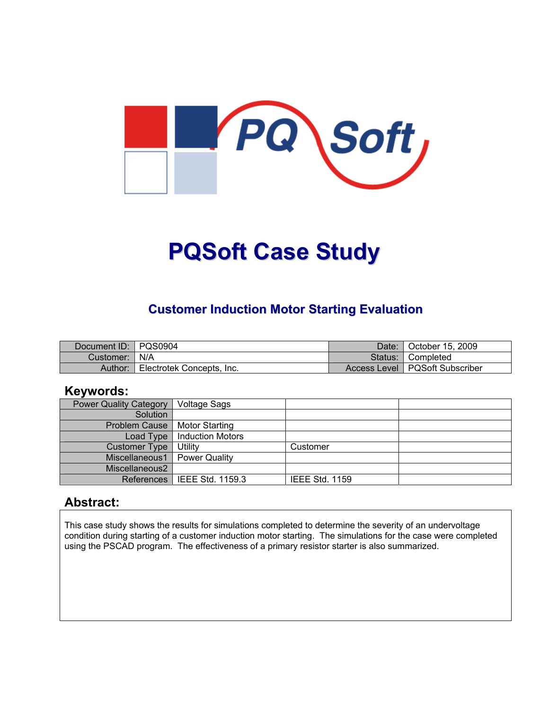

# **PQSoft Case Study**

## **Customer Induction Motor Starting Evaluation**

| Document ID:   PQS0904 |                           | Date: | October 15, 2009                 |
|------------------------|---------------------------|-------|----------------------------------|
| Customer:   N/A        |                           |       | Status: Completed                |
| Author:                | Electrotek Concepts, Inc. |       | Access Level   PQSoft Subscriber |

#### **Keywords:**

| <b>Power Quality Category</b> | <b>Voltage Sags</b>     |                       |  |
|-------------------------------|-------------------------|-----------------------|--|
| Solution                      |                         |                       |  |
| <b>Problem Cause</b>          | <b>Motor Starting</b>   |                       |  |
| Load Type                     | <b>Induction Motors</b> |                       |  |
| <b>Customer Type</b>          | Utility                 | Customer              |  |
| Miscellaneous1                | Power Quality           |                       |  |
| Miscellaneous2                |                         |                       |  |
| References l                  | IEEE Std. 1159.3        | <b>IEEE Std. 1159</b> |  |

#### **Abstract:**

This case study shows the results for simulations completed to determine the severity of an undervoltage condition during starting of a customer induction motor starting. The simulations for the case were completed using the PSCAD program. The effectiveness of a primary resistor starter is also summarized.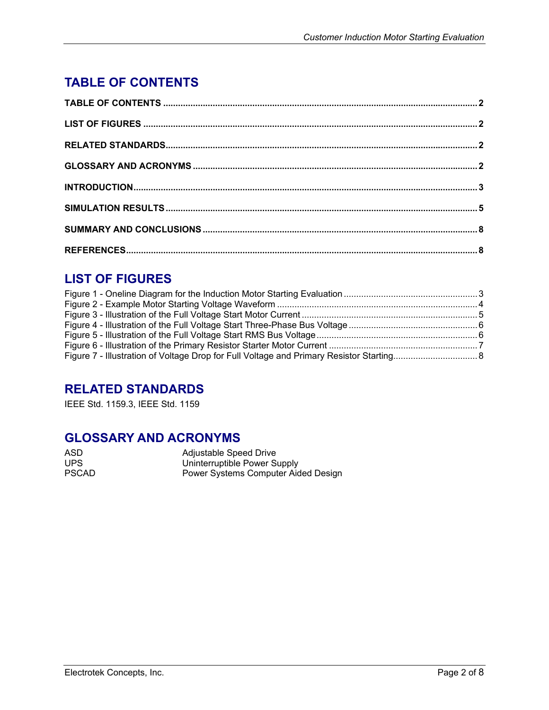## <span id="page-1-0"></span>**TABLE OF CONTENTS**

### **LIST OF FIGURES**

#### **RELATED STANDARDS**

IEEE Std. 1159.3, IEEE Std. 1159

#### **GLOSSARY AND ACRONYMS**

| ASD          | Adjustable Speed Drive              |
|--------------|-------------------------------------|
| UPS.         | Uninterruptible Power Supply        |
| <b>PSCAD</b> | Power Systems Computer Aided Design |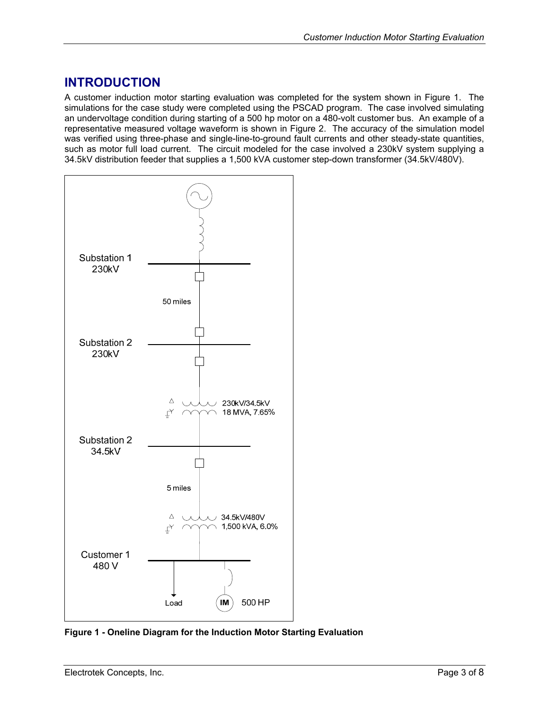#### <span id="page-2-0"></span>**INTRODUCTION**

A customer induction motor starting evaluation was completed for the system shown in [Figure 1.](#page-2-1) The simulations for the case study were completed using the PSCAD program. The case involved simulating an undervoltage condition during starting of a 500 hp motor on a 480-volt customer bus. An example of a representative measured voltage waveform is shown in [Figure 2.](#page-3-1) The accuracy of the simulation model was verified using three-phase and single-line-to-ground fault currents and other steady-state quantities, such as motor full load current. The circuit modeled for the case involved a 230kV system supplying a 34.5kV distribution feeder that supplies a 1,500 kVA customer step-down transformer (34.5kV/480V).

<span id="page-2-1"></span>

**Figure 1 - Oneline Diagram for the Induction Motor Starting Evaluation**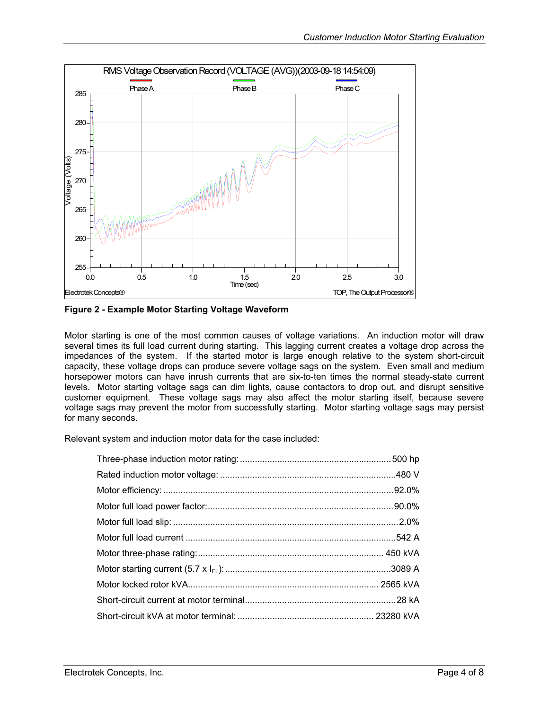<span id="page-3-1"></span><span id="page-3-0"></span>

**Figure 2 - Example Motor Starting Voltage Waveform** 

Motor starting is one of the most common causes of voltage variations. An induction motor will draw several times its full load current during starting. This lagging current creates a voltage drop across the impedances of the system. If the started motor is large enough relative to the system short-circuit capacity, these voltage drops can produce severe voltage sags on the system. Even small and medium horsepower motors can have inrush currents that are six-to-ten times the normal steady-state current levels. Motor starting voltage sags can dim lights, cause contactors to drop out, and disrupt sensitive customer equipment. These voltage sags may also affect the motor starting itself, because severe voltage sags may prevent the motor from successfully starting. Motor starting voltage sags may persist for many seconds.

Relevant system and induction motor data for the case included: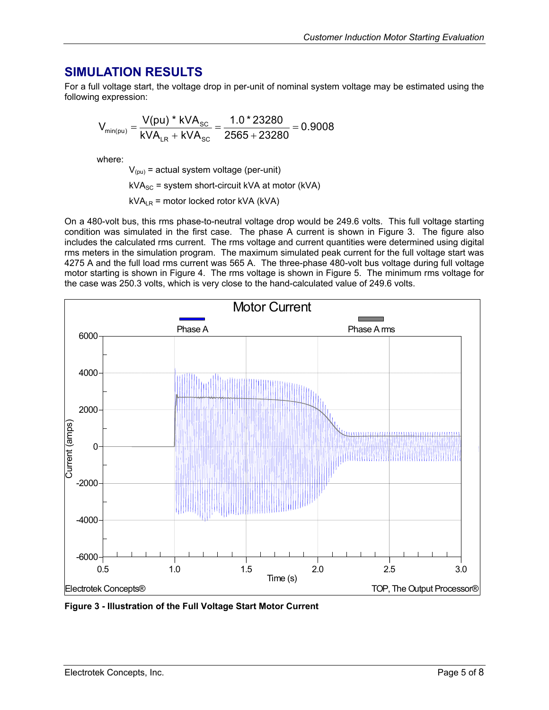#### <span id="page-4-0"></span>**SIMULATION RESULTS**

For a full voltage start, the voltage drop in per-unit of nominal system voltage may be estimated using the following expression:

$$
V_{min(pu)} = \frac{V(pu) * kVA_{SC}}{kVA_{LR} + kVA_{SC}} = \frac{1.0 * 23280}{2565 + 23280} = 0.9008
$$

where:

 $V_{(pu)}$  = actual system voltage (per-unit)

 $kVA<sub>SC</sub>$  = system short-circuit kVA at motor (kVA)

 $kVA_{LR}$  = motor locked rotor kVA (kVA)

On a 480-volt bus, this rms phase-to-neutral voltage drop would be 249.6 volts. This full voltage starting condition was simulated in the first case. The phase A current is shown in [Figure 3.](#page-4-1) The figure also includes the calculated rms current. The rms voltage and current quantities were determined using digital rms meters in the simulation program. The maximum simulated peak current for the full voltage start was 4275 A and the full load rms current was 565 A. The three-phase 480-volt bus voltage during full voltage motor starting is shown in [Figure 4.](#page-5-1) The rms voltage is shown in [Figure 5.](#page-5-2) The minimum rms voltage for the case was 250.3 volts, which is very close to the hand-calculated value of 249.6 volts.

<span id="page-4-1"></span>

**Figure 3 - Illustration of the Full Voltage Start Motor Current**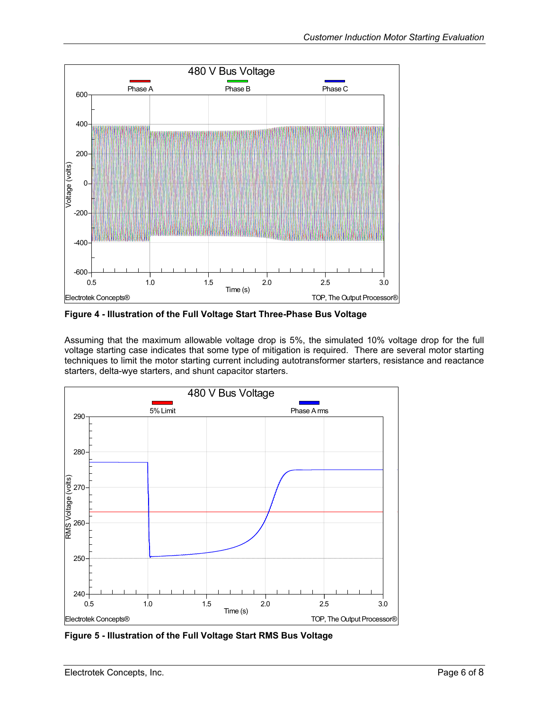<span id="page-5-1"></span><span id="page-5-0"></span>

**Figure 4 - Illustration of the Full Voltage Start Three-Phase Bus Voltage** 

Assuming that the maximum allowable voltage drop is 5%, the simulated 10% voltage drop for the full voltage starting case indicates that some type of mitigation is required. There are several motor starting techniques to limit the motor starting current including autotransformer starters, resistance and reactance starters, delta-wye starters, and shunt capacitor starters.

<span id="page-5-2"></span>

**Figure 5 - Illustration of the Full Voltage Start RMS Bus Voltage**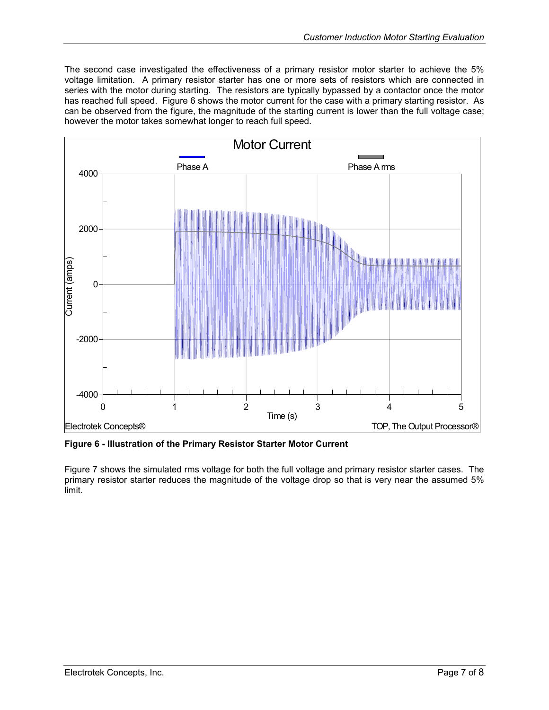<span id="page-6-0"></span>The second case investigated the effectiveness of a primary resistor motor starter to achieve the 5% voltage limitation. A primary resistor starter has one or more sets of resistors which are connected in series with the motor during starting. The resistors are typically bypassed by a contactor once the motor has reached full speed. [Figure 6](#page-6-1) shows the motor current for the case with a primary starting resistor. As can be observed from the figure, the magnitude of the starting current is lower than the full voltage case; however the motor takes somewhat longer to reach full speed.

<span id="page-6-1"></span>

**Figure 6 - Illustration of the Primary Resistor Starter Motor Current** 

[Figure 7](#page-7-1) shows the simulated rms voltage for both the full voltage and primary resistor starter cases. The primary resistor starter reduces the magnitude of the voltage drop so that is very near the assumed 5% limit.